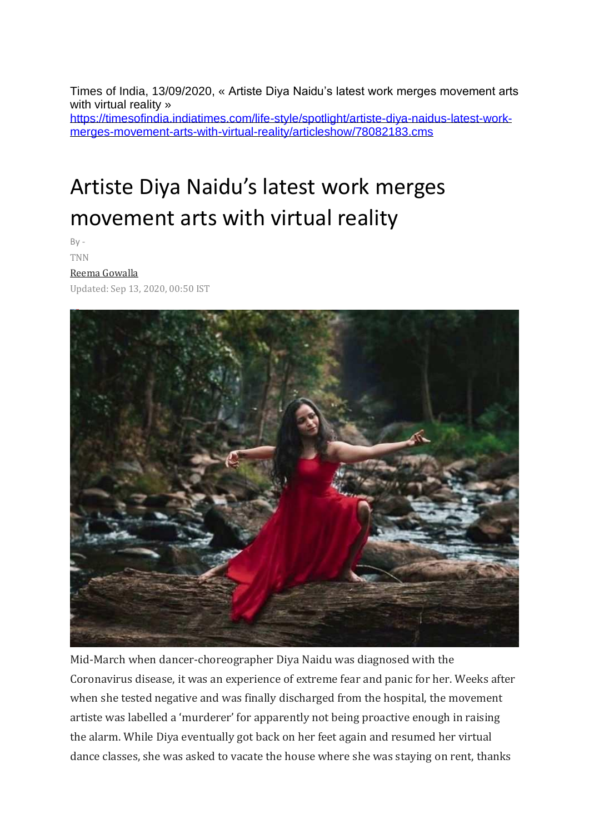Times of India, 13/09/2020, « Artiste Diya Naidu's latest work merges movement arts with virtual reality » [https://timesofindia.indiatimes.com/life-style/spotlight/artiste-diya-naidus-latest-work](https://timesofindia.indiatimes.com/life-style/spotlight/artiste-diya-naidus-latest-work-merges-movement-arts-with-virtual-reality/articleshow/78082183.cms)[merges-movement-arts-with-virtual-reality/articleshow/78082183.cms](https://timesofindia.indiatimes.com/life-style/spotlight/artiste-diya-naidus-latest-work-merges-movement-arts-with-virtual-reality/articleshow/78082183.cms)

# Artiste Diya Naidu's latest work merges movement arts with virtual reality

 $By -$ 

#### TNN

#### [Reema Gowalla](https://timesofindia.indiatimes.com/toireporter/author-Reema-Gowalla-479239961.cms)

Updated: Sep 13, 2020, 00:50 IST



Mid-March when dancer-choreographer Diya Naidu was diagnosed with the Coronavirus disease, it was an experience of extreme fear and panic for her. Weeks after when she tested negative and was finally discharged from the hospital, the movement artiste was labelled a 'murderer' for apparently not being proactive enough in raising the alarm. While Diya eventually got back on her feet again and resumed her virtual dance classes, she was asked to vacate the house where she was staying on rent, thanks